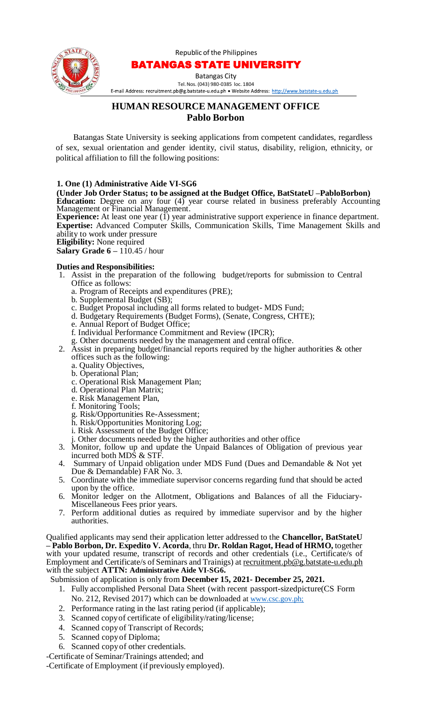Republic of the Philippines



## BATANGAS STATE UNIVERSITY

Batangas City

Tel. Nos. (043) [980-0385](mailto:recruitment.pb@g.batstate-u.edu.ph) loc. 1804<br>E-mail Address: recruitment.pb@g.batstate-u.edu.ph • Website Address: http://www.batstate-u.edu.ph

# **HUMAN RESOURCE MANAGEMENT OFFICE Pablo Borbon**

Batangas State University is seeking applications from competent candidates, regardless of sex, sexual orientation and gender identity, civil status, disability, religion, ethnicity, or political affiliation to fill the following positions:

#### **1. One (1) Administrative Aide VI-SG6**

**(Under Job Order Status; to be assigned at the Budget Office, BatStateU –PabloBorbon) Education:** Degree on any four (4) year course related in business preferably Accounting Management or Financial Management.

**Experience:** At least one year (I) year administrative support experience in finance department. **Expertise:** Advanced Computer Skills, Communication Skills, Time Management Skills and ability to work under pressure

**Eligibility:** None required

**Salary Grade 6 –** 110.45 / hour

#### **Duties and Responsibilities:**

- 1. Assist in the preparation of the following budget/reports for submission to Central Office as follows:
	- a. Program of Receipts and expenditures (PRE);
	- b. Supplemental Budget (SB);
	- c. Budget Proposal including all forms related to budget- MDS Fund;
	- d. Budgetary Requirements (Budget Forms), (Senate, Congress, CHTE);
	- e. Annual Report of Budget Office;
	- f. Individual Performance Commitment and Review (IPCR);
	- g. Other documents needed by the management and central office.
- 2. Assist in preparing budget/financial reports required by the higher authorities & other offices such as the following:
	- a. Quality Objectives,
	- b. Operational Plan;
	- c. Operational Risk Management Plan;
	- d. Operational Plan Matrix;
	- e. Risk Management Plan,
	- f. Monitoring Tools;
	- g. Risk/Opportunities Re-Assessment;
	- h. Risk/Opportunities Monitoring Log;
	- i. Risk Assessment of the Budget Office;
	- j. Other documents needed by the higher authorities and other office
- 3. Monitor, follow up and update the Unpaid Balances of Obligation of previous year incurred both MDS  $\&$  STF.
- 4. Summary of Unpaid obligation under MDS Fund (Dues and Demandable & Not yet Due & Demandable) FAR No. 3.
- 5. Coordinate with the immediate supervisor concerns regarding fund that should be acted upon by the office.
- 6. Monitor ledger on the Allotment, Obligations and Balances of all the Fiduciary-Miscellaneous Fees prior years.
- 7. Perform additional duties as required by immediate supervisor and by the higher authorities.

Qualified applicants may send their application letter addressed to the **Chancellor, BatStateU – Pablo Borbon, Dr. Expedito V. Acorda**, thru **Dr. Roldan Ragot, Head of HRMO,** together with your updated resume, transcript of records and other credentials (i.e., Certificate/s of Employment and Certificate/s of Seminars and Trainigs) at recruitment.pb@g.batstate-u.edu.ph with the subject **ATTN: Administrative Aide VI-SG6.**

Submission of application is only from **December 15, 2021- December 25, 2021.**

- 1. Fully accomplished Personal Data Sheet (with recent passport-sizedpicture(CS Form No. 212, Revised 2017) which can be downloaded at www.csc.gov.ph;
- 2. Performance rating in the last rating period (if applicable);
- 3. Scanned copyof certificate of eligibility/rating/license;
- 4. Scanned copyof Transcript of Records;
- 5. Scanned copyof Diploma;
- 6. Scanned copyof other credentials.

-Certificate of Seminar/Trainings attended; and

-Certificate of Employment (if previously employed).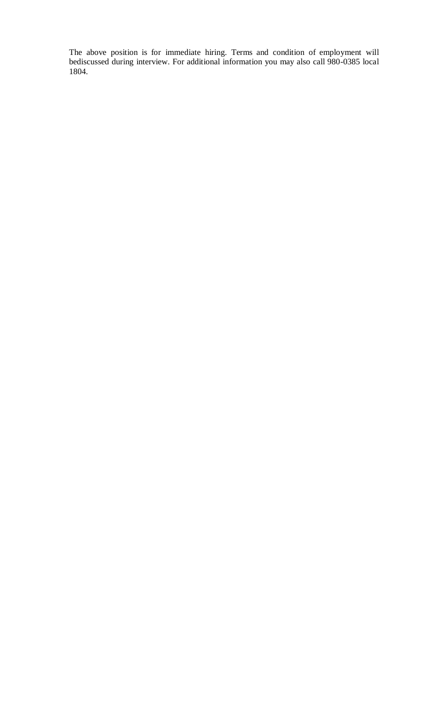The above position is for immediate hiring. Terms and condition of employment will bediscussed during interview. For additional information you may also call 980-0385 local 1804.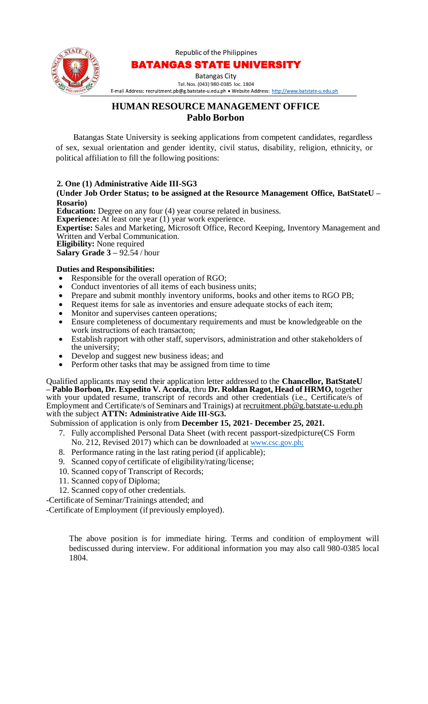Republic of the Philippines



# BATANGAS STATE UNIVERSITY

Batangas City Tel.Nos. (043) [980-0385](mailto:recruitment.pb@g.batstate-u.edu.ph) loc. 1804

E-mail Address: recruitment.pb@g.batstate-u.edu.ph • Website Address: http://www.batstate-u.edu.ph

# **HUMAN RESOURCE MANAGEMENT OFFICE Pablo Borbon**

Batangas State University is seeking applications from competent candidates, regardless of sex, sexual orientation and gender identity, civil status, disability, religion, ethnicity, or political affiliation to fill the following positions:

## **2. One (1) Administrative Aide III-SG3**

#### **(Under Job Order Status; to be assigned at the Resource Management Office, BatStateU – Rosario)**

**Education:** Degree on any four (4) year course related in business.

**Experience:** At least one year (1) year work experience.

**Expertise:** Sales and Marketing, Microsoft Office, Record Keeping, Inventory Management and Written and Verbal Communication.

**Eligibility:** None required

**Salary Grade 3 –** 92.54 / hour

## **Duties and Responsibilities:**

- Responsible for the overall operation of RGO;
- Conduct inventories of all items of each business units;
- Prepare and submit monthly inventory uniforms, books and other items to RGO PB;
- Request items for sale as inventories and ensure adequate stocks of each item;
- Monitor and supervises canteen operations;
- Ensure completeness of documentary requirements and must be knowledgeable on the work instructions of each transacton;
- Establish rapport with other staff, supervisors, administration and other stakeholders of the university;
- Develop and suggest new business ideas; and
- Perform other tasks that may be assigned from time to time

Qualified applicants may send their application letter addressed to the **Chancellor, BatStateU – Pablo Borbon, Dr. Expedito V. Acorda**, thru **Dr. Roldan Ragot, Head of HRMO,** together with your updated resume, transcript of records and other credentials (i.e., Certificate/s of Employment and Certificate/s of Seminars and Trainigs) at recruitment.pb@g.batstate-u.edu.ph with the subject **ATTN: Administrative Aide III-SG3.**

## Submission of application is only from **December 15, 2021- December 25, 2021.**

- 7. Fully accomplished Personal Data Sheet (with recent passport-sizedpicture(CS Form No. 212, Revised 2017) which can be downloaded at www.csc.gov.ph;
- 8. Performance rating in the last rating period (if applicable);
- 9. Scanned copyof certificate of eligibility/rating/license;
- 10. Scanned copyof Transcript of Records;
- 11. Scanned copyof Diploma;
- 12. Scanned copyof other credentials.

-Certificate of Seminar/Trainings attended; and

-Certificate of Employment (if previously employed).

The above position is for immediate hiring. Terms and condition of employment will bediscussed during interview. For additional information you may also call 980-0385 local 1804.